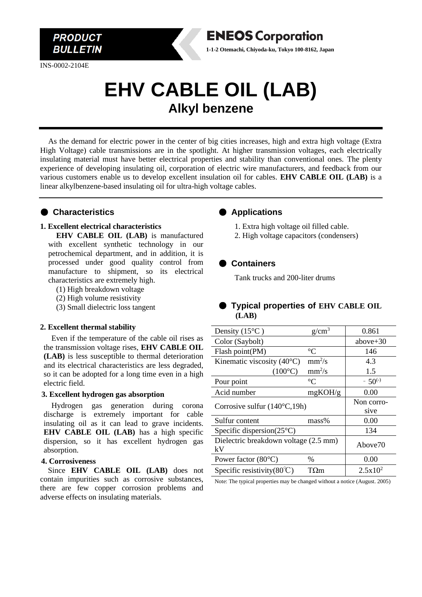

INS-0002-2104E

# **EHV CABLE OIL (LAB) Alkyl benzene**

As the demand for electric power in the center of big cities increases, high and extra high voltage (Extra High Voltage) cable transmissions are in the spotlight. At higher transmission voltages, each electrically insulating material must have better electrical properties and stability than conventional ones. The plenty experience of developing insulating oil, corporation of electric wire manufacturers, and feedback from our various customers enable us to develop excellent insulation oil for cables. **EHV CABLE OIL (LAB)** is a linear alkylbenzene-based insulating oil for ultra-high voltage cables.

## ● **Characteristics**

#### **1. Excellent electrical characteristics**

**EHV CABLE OIL (LAB)** is manufactured with excellent synthetic technology in our petrochemical department, and in addition, it is processed under good quality control from manufacture to shipment, so its electrical characteristics are extremely high.

- (1) High breakdown voltage
- (2) High volume resistivity
- (3) Small dielectric loss tangent

#### **2. Excellent thermal stability**

Even if the temperature of the cable oil rises as the transmission voltage rises, **EHV CABLE OIL (LAB)** is less susceptible to thermal deterioration and its electrical characteristics are less degraded, so it can be adopted for a long time even in a high electric field.

#### **3. Excellent hydrogen gas absorption**

Hydrogen gas generation during corona discharge is extremely important for cable insulating oil as it can lead to grave incidents. **EHV CABLE OIL (LAB)** has a high specific dispersion, so it has excellent hydrogen gas absorption.

#### **4. Corrosiveness**

Since **EHV CABLE OIL (LAB)** does not contain impurities such as corrosive substances, there are few copper corrosion problems and adverse effects on insulating materials.

#### ● **Applications**

**ENEOS Corporation 1-1-2 Otemachi, Chiyoda-ku, Tokyo 100-8162, Japan**

1. Extra high voltage oil filled cable.

2. High voltage capacitors (condensers)

### ● **Containers**

Tank trucks and 200-liter drums

# ● **Typical properties of EHV CABLE OIL (LAB)**

| Density $(15^{\circ}C)$                | $g/cm^3$                     | 0.861               |
|----------------------------------------|------------------------------|---------------------|
| Color (Saybolt)                        |                              | above $+30$         |
| Flash point(PM)                        | $\rm ^{\circ}C$              | 146                 |
| Kinematic viscosity $(40^{\circ}C)$    | $mm^2/s$                     | 4.3                 |
| $(100^{\circ}C)$                       | $mm^2/s$                     | 1.5                 |
| Pour point                             | $^{\circ}C$                  | $-50^{(-)}$         |
| Acid number                            | mgKOH/g                      | 0.00                |
| Corrosive sulfur $(140^{\circ}C, 19h)$ |                              | Non corro-          |
|                                        |                              | sive                |
| Sulfur content                         | $mass\%$                     | 0.00                |
| Specific dispersion $(25^{\circ}C)$    |                              | 134                 |
| Dielectric breakdown voltage (2.5 mm)  |                              | Above <sup>70</sup> |
| kV                                     |                              |                     |
| Power factor $(80^{\circ}C)$           | $\frac{0}{0}$                | 0.00                |
| Specific resistivity( $80^{\circ}$ C)  | $\mathrm{T}\Omega\mathrm{m}$ | $2.5x10^2$          |

Note: The typical properties may be changed without a notice (August. 2005)